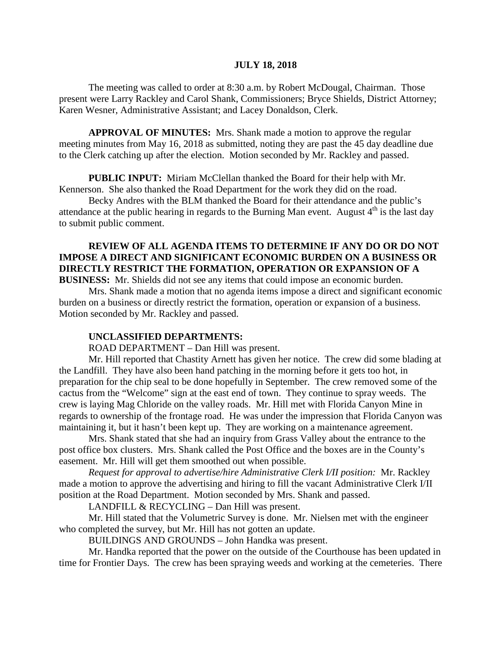#### **JULY 18, 2018**

The meeting was called to order at 8:30 a.m. by Robert McDougal, Chairman. Those present were Larry Rackley and Carol Shank, Commissioners; Bryce Shields, District Attorney; Karen Wesner, Administrative Assistant; and Lacey Donaldson, Clerk.

**APPROVAL OF MINUTES:** Mrs. Shank made a motion to approve the regular meeting minutes from May 16, 2018 as submitted, noting they are past the 45 day deadline due to the Clerk catching up after the election. Motion seconded by Mr. Rackley and passed.

 **PUBLIC INPUT:** Miriam McClellan thanked the Board for their help with Mr. Kennerson. She also thanked the Road Department for the work they did on the road.

Becky Andres with the BLM thanked the Board for their attendance and the public's attendance at the public hearing in regards to the Burning Man event. August  $4<sup>th</sup>$  is the last day to submit public comment.

## **REVIEW OF ALL AGENDA ITEMS TO DETERMINE IF ANY DO OR DO NOT IMPOSE A DIRECT AND SIGNIFICANT ECONOMIC BURDEN ON A BUSINESS OR DIRECTLY RESTRICT THE FORMATION, OPERATION OR EXPANSION OF A BUSINESS:** Mr. Shields did not see any items that could impose an economic burden.

Mrs. Shank made a motion that no agenda items impose a direct and significant economic burden on a business or directly restrict the formation, operation or expansion of a business. Motion seconded by Mr. Rackley and passed.

#### **UNCLASSIFIED DEPARTMENTS:**

ROAD DEPARTMENT – Dan Hill was present.

Mr. Hill reported that Chastity Arnett has given her notice. The crew did some blading at the Landfill. They have also been hand patching in the morning before it gets too hot, in preparation for the chip seal to be done hopefully in September. The crew removed some of the cactus from the "Welcome" sign at the east end of town. They continue to spray weeds. The crew is laying Mag Chloride on the valley roads. Mr. Hill met with Florida Canyon Mine in regards to ownership of the frontage road. He was under the impression that Florida Canyon was maintaining it, but it hasn't been kept up. They are working on a maintenance agreement.

Mrs. Shank stated that she had an inquiry from Grass Valley about the entrance to the post office box clusters. Mrs. Shank called the Post Office and the boxes are in the County's easement. Mr. Hill will get them smoothed out when possible.

*Request for approval to advertise/hire Administrative Clerk I/II position:* Mr. Rackley made a motion to approve the advertising and hiring to fill the vacant Administrative Clerk I/II position at the Road Department. Motion seconded by Mrs. Shank and passed.

LANDFILL & RECYCLING – Dan Hill was present.

Mr. Hill stated that the Volumetric Survey is done. Mr. Nielsen met with the engineer who completed the survey, but Mr. Hill has not gotten an update.

BUILDINGS AND GROUNDS – John Handka was present.

Mr. Handka reported that the power on the outside of the Courthouse has been updated in time for Frontier Days. The crew has been spraying weeds and working at the cemeteries. There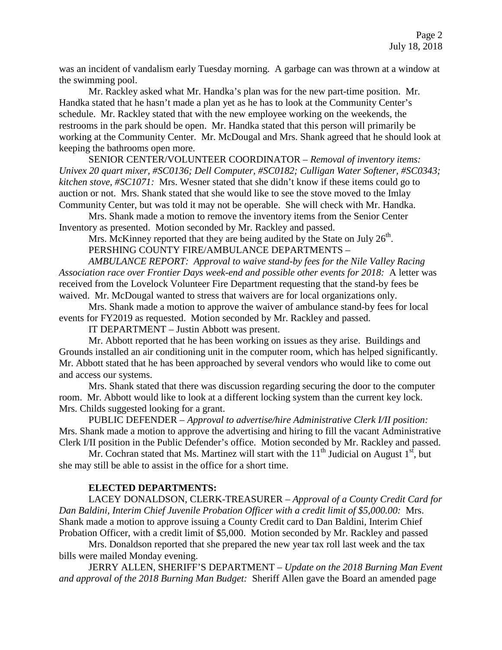was an incident of vandalism early Tuesday morning. A garbage can was thrown at a window at the swimming pool.

Mr. Rackley asked what Mr. Handka's plan was for the new part-time position. Mr. Handka stated that he hasn't made a plan yet as he has to look at the Community Center's schedule. Mr. Rackley stated that with the new employee working on the weekends, the restrooms in the park should be open. Mr. Handka stated that this person will primarily be working at the Community Center. Mr. McDougal and Mrs. Shank agreed that he should look at keeping the bathrooms open more.

SENIOR CENTER/VOLUNTEER COORDINATOR – *Removal of inventory items: Univex 20 quart mixer, #SC0136; Dell Computer, #SC0182; Culligan Water Softener, #SC0343; kitchen stove, #SC1071:* Mrs. Wesner stated that she didn't know if these items could go to auction or not. Mrs. Shank stated that she would like to see the stove moved to the Imlay Community Center, but was told it may not be operable. She will check with Mr. Handka.

Mrs. Shank made a motion to remove the inventory items from the Senior Center Inventory as presented. Motion seconded by Mr. Rackley and passed.

Mrs. McKinney reported that they are being audited by the State on July  $26<sup>th</sup>$ .

PERSHING COUNTY FIRE/AMBULANCE DEPARTMENTS –

*AMBULANCE REPORT: Approval to waive stand-by fees for the Nile Valley Racing Association race over Frontier Days week-end and possible other events for 2018:* A letter was received from the Lovelock Volunteer Fire Department requesting that the stand-by fees be waived. Mr. McDougal wanted to stress that waivers are for local organizations only.

Mrs. Shank made a motion to approve the waiver of ambulance stand-by fees for local events for FY2019 as requested. Motion seconded by Mr. Rackley and passed.

IT DEPARTMENT – Justin Abbott was present.

Mr. Abbott reported that he has been working on issues as they arise. Buildings and Grounds installed an air conditioning unit in the computer room, which has helped significantly. Mr. Abbott stated that he has been approached by several vendors who would like to come out and access our systems.

Mrs. Shank stated that there was discussion regarding securing the door to the computer room. Mr. Abbott would like to look at a different locking system than the current key lock. Mrs. Childs suggested looking for a grant.

PUBLIC DEFENDER – *Approval to advertise/hire Administrative Clerk I/II position:* Mrs. Shank made a motion to approve the advertising and hiring to fill the vacant Administrative Clerk I/II position in the Public Defender's office. Motion seconded by Mr. Rackley and passed.

Mr. Cochran stated that Ms. Martinez will start with the  $11<sup>th</sup>$  Judicial on August  $1<sup>st</sup>$ , but she may still be able to assist in the office for a short time.

## **ELECTED DEPARTMENTS:**

LACEY DONALDSON, CLERK-TREASURER – *Approval of a County Credit Card for Dan Baldini, Interim Chief Juvenile Probation Officer with a credit limit of \$5,000.00:* Mrs. Shank made a motion to approve issuing a County Credit card to Dan Baldini, Interim Chief Probation Officer, with a credit limit of \$5,000. Motion seconded by Mr. Rackley and passed

Mrs. Donaldson reported that she prepared the new year tax roll last week and the tax bills were mailed Monday evening.

JERRY ALLEN, SHERIFF'S DEPARTMENT – *Update on the 2018 Burning Man Event and approval of the 2018 Burning Man Budget:* Sheriff Allen gave the Board an amended page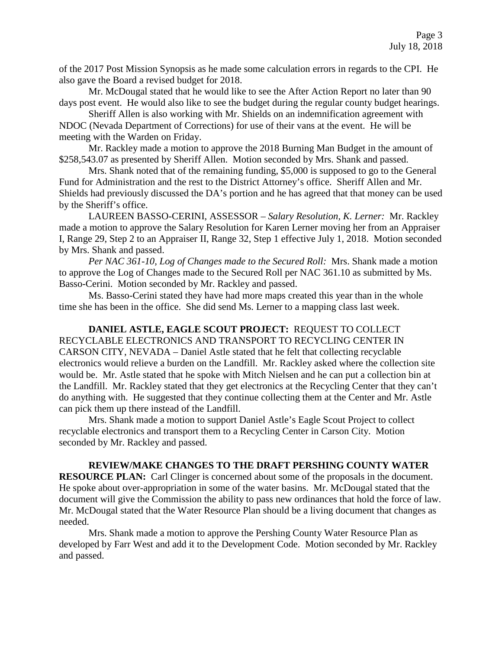of the 2017 Post Mission Synopsis as he made some calculation errors in regards to the CPI. He also gave the Board a revised budget for 2018.

Mr. McDougal stated that he would like to see the After Action Report no later than 90 days post event. He would also like to see the budget during the regular county budget hearings.

Sheriff Allen is also working with Mr. Shields on an indemnification agreement with NDOC (Nevada Department of Corrections) for use of their vans at the event. He will be meeting with the Warden on Friday.

Mr. Rackley made a motion to approve the 2018 Burning Man Budget in the amount of \$258,543.07 as presented by Sheriff Allen. Motion seconded by Mrs. Shank and passed.

Mrs. Shank noted that of the remaining funding, \$5,000 is supposed to go to the General Fund for Administration and the rest to the District Attorney's office. Sheriff Allen and Mr. Shields had previously discussed the DA's portion and he has agreed that that money can be used by the Sheriff's office.

LAUREEN BASSO-CERINI, ASSESSOR – *Salary Resolution, K. Lerner:* Mr. Rackley made a motion to approve the Salary Resolution for Karen Lerner moving her from an Appraiser I, Range 29, Step 2 to an Appraiser II, Range 32, Step 1 effective July 1, 2018. Motion seconded by Mrs. Shank and passed.

*Per NAC 361-10, Log of Changes made to the Secured Roll:* Mrs. Shank made a motion to approve the Log of Changes made to the Secured Roll per NAC 361.10 as submitted by Ms. Basso-Cerini. Motion seconded by Mr. Rackley and passed.

Ms. Basso-Cerini stated they have had more maps created this year than in the whole time she has been in the office. She did send Ms. Lerner to a mapping class last week.

**DANIEL ASTLE, EAGLE SCOUT PROJECT:** REQUEST TO COLLECT RECYCLABLE ELECTRONICS AND TRANSPORT TO RECYCLING CENTER IN CARSON CITY, NEVADA – Daniel Astle stated that he felt that collecting recyclable electronics would relieve a burden on the Landfill. Mr. Rackley asked where the collection site would be. Mr. Astle stated that he spoke with Mitch Nielsen and he can put a collection bin at the Landfill. Mr. Rackley stated that they get electronics at the Recycling Center that they can't do anything with. He suggested that they continue collecting them at the Center and Mr. Astle can pick them up there instead of the Landfill.

Mrs. Shank made a motion to support Daniel Astle's Eagle Scout Project to collect recyclable electronics and transport them to a Recycling Center in Carson City. Motion seconded by Mr. Rackley and passed.

**REVIEW/MAKE CHANGES TO THE DRAFT PERSHING COUNTY WATER RESOURCE PLAN:** Carl Clinger is concerned about some of the proposals in the document. He spoke about over-appropriation in some of the water basins. Mr. McDougal stated that the document will give the Commission the ability to pass new ordinances that hold the force of law. Mr. McDougal stated that the Water Resource Plan should be a living document that changes as needed.

Mrs. Shank made a motion to approve the Pershing County Water Resource Plan as developed by Farr West and add it to the Development Code. Motion seconded by Mr. Rackley and passed.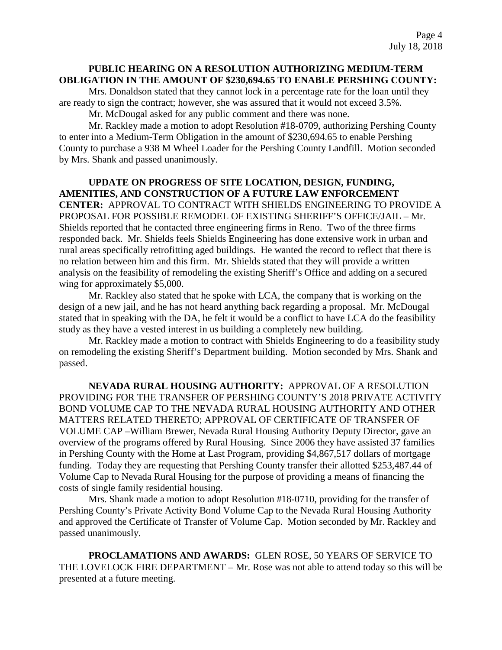# **PUBLIC HEARING ON A RESOLUTION AUTHORIZING MEDIUM-TERM OBLIGATION IN THE AMOUNT OF \$230,694.65 TO ENABLE PERSHING COUNTY:**

Mrs. Donaldson stated that they cannot lock in a percentage rate for the loan until they are ready to sign the contract; however, she was assured that it would not exceed 3.5%.

Mr. McDougal asked for any public comment and there was none.

Mr. Rackley made a motion to adopt Resolution #18-0709, authorizing Pershing County to enter into a Medium-Term Obligation in the amount of \$230,694.65 to enable Pershing County to purchase a 938 M Wheel Loader for the Pershing County Landfill. Motion seconded by Mrs. Shank and passed unanimously.

**UPDATE ON PROGRESS OF SITE LOCATION, DESIGN, FUNDING, AMENITIES, AND CONSTRUCTION OF A FUTURE LAW ENFORCEMENT CENTER:** APPROVAL TO CONTRACT WITH SHIELDS ENGINEERING TO PROVIDE A PROPOSAL FOR POSSIBLE REMODEL OF EXISTING SHERIFF'S OFFICE/JAIL – Mr. Shields reported that he contacted three engineering firms in Reno. Two of the three firms responded back. Mr. Shields feels Shields Engineering has done extensive work in urban and rural areas specifically retrofitting aged buildings. He wanted the record to reflect that there is no relation between him and this firm. Mr. Shields stated that they will provide a written analysis on the feasibility of remodeling the existing Sheriff's Office and adding on a secured wing for approximately \$5,000.

Mr. Rackley also stated that he spoke with LCA, the company that is working on the design of a new jail, and he has not heard anything back regarding a proposal. Mr. McDougal stated that in speaking with the DA, he felt it would be a conflict to have LCA do the feasibility study as they have a vested interest in us building a completely new building.

Mr. Rackley made a motion to contract with Shields Engineering to do a feasibility study on remodeling the existing Sheriff's Department building. Motion seconded by Mrs. Shank and passed.

**NEVADA RURAL HOUSING AUTHORITY:** APPROVAL OF A RESOLUTION PROVIDING FOR THE TRANSFER OF PERSHING COUNTY'S 2018 PRIVATE ACTIVITY BOND VOLUME CAP TO THE NEVADA RURAL HOUSING AUTHORITY AND OTHER MATTERS RELATED THERETO; APPROVAL OF CERTIFICATE OF TRANSFER OF VOLUME CAP –William Brewer, Nevada Rural Housing Authority Deputy Director, gave an overview of the programs offered by Rural Housing. Since 2006 they have assisted 37 families in Pershing County with the Home at Last Program, providing \$4,867,517 dollars of mortgage funding. Today they are requesting that Pershing County transfer their allotted \$253,487.44 of Volume Cap to Nevada Rural Housing for the purpose of providing a means of financing the costs of single family residential housing.

Mrs. Shank made a motion to adopt Resolution #18-0710, providing for the transfer of Pershing County's Private Activity Bond Volume Cap to the Nevada Rural Housing Authority and approved the Certificate of Transfer of Volume Cap. Motion seconded by Mr. Rackley and passed unanimously.

**PROCLAMATIONS AND AWARDS:** GLEN ROSE, 50 YEARS OF SERVICE TO THE LOVELOCK FIRE DEPARTMENT – Mr. Rose was not able to attend today so this will be presented at a future meeting.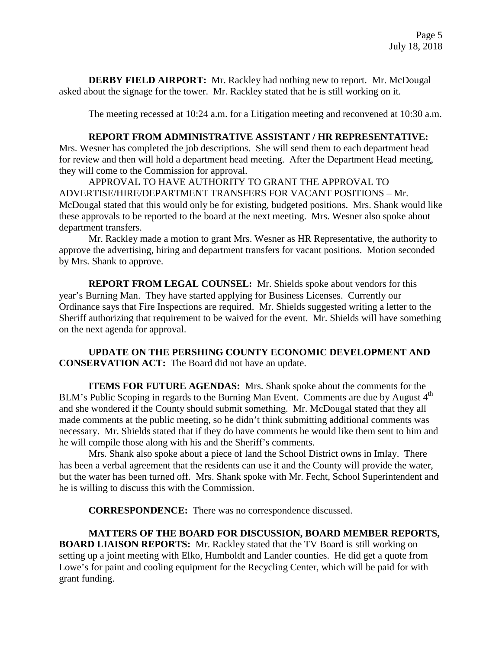**DERBY FIELD AIRPORT:** Mr. Rackley had nothing new to report. Mr. McDougal asked about the signage for the tower. Mr. Rackley stated that he is still working on it.

The meeting recessed at 10:24 a.m. for a Litigation meeting and reconvened at 10:30 a.m.

### **REPORT FROM ADMINISTRATIVE ASSISTANT / HR REPRESENTATIVE:**

Mrs. Wesner has completed the job descriptions. She will send them to each department head for review and then will hold a department head meeting. After the Department Head meeting, they will come to the Commission for approval.

APPROVAL TO HAVE AUTHORITY TO GRANT THE APPROVAL TO ADVERTISE/HIRE/DEPARTMENT TRANSFERS FOR VACANT POSITIONS – Mr. McDougal stated that this would only be for existing, budgeted positions. Mrs. Shank would like these approvals to be reported to the board at the next meeting. Mrs. Wesner also spoke about department transfers.

Mr. Rackley made a motion to grant Mrs. Wesner as HR Representative, the authority to approve the advertising, hiring and department transfers for vacant positions. Motion seconded by Mrs. Shank to approve.

**REPORT FROM LEGAL COUNSEL:** Mr. Shields spoke about vendors for this year's Burning Man. They have started applying for Business Licenses. Currently our Ordinance says that Fire Inspections are required. Mr. Shields suggested writing a letter to the Sheriff authorizing that requirement to be waived for the event. Mr. Shields will have something on the next agenda for approval.

**UPDATE ON THE PERSHING COUNTY ECONOMIC DEVELOPMENT AND CONSERVATION ACT:** The Board did not have an update.

**ITEMS FOR FUTURE AGENDAS:** Mrs. Shank spoke about the comments for the BLM's Public Scoping in regards to the Burning Man Event. Comments are due by August 4<sup>th</sup> and she wondered if the County should submit something. Mr. McDougal stated that they all made comments at the public meeting, so he didn't think submitting additional comments was necessary. Mr. Shields stated that if they do have comments he would like them sent to him and he will compile those along with his and the Sheriff's comments.

Mrs. Shank also spoke about a piece of land the School District owns in Imlay. There has been a verbal agreement that the residents can use it and the County will provide the water, but the water has been turned off. Mrs. Shank spoke with Mr. Fecht, School Superintendent and he is willing to discuss this with the Commission.

**CORRESPONDENCE:** There was no correspondence discussed.

**MATTERS OF THE BOARD FOR DISCUSSION, BOARD MEMBER REPORTS, BOARD LIAISON REPORTS:** Mr. Rackley stated that the TV Board is still working on setting up a joint meeting with Elko, Humboldt and Lander counties. He did get a quote from Lowe's for paint and cooling equipment for the Recycling Center, which will be paid for with grant funding.